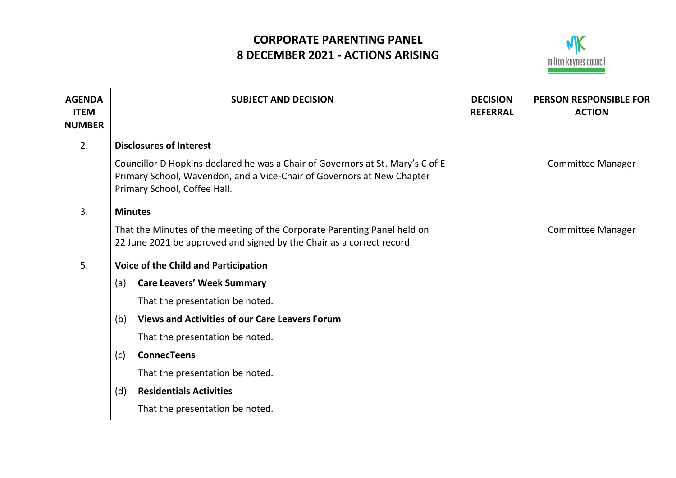## **CORPORATE PARENTING PANEL 8 DECEMBER 2021 - ACTIONS ARISING**



|                                                                                                                                                                                                                                                                                                                                        | <b>REFERRAL</b>                 | <b>PERSON RESPONSIBLE FOR</b><br><b>ACTION</b> |
|----------------------------------------------------------------------------------------------------------------------------------------------------------------------------------------------------------------------------------------------------------------------------------------------------------------------------------------|---------------------------------|------------------------------------------------|
| <b>Disclosures of Interest</b><br>Councillor D Hopkins declared he was a Chair of Governors at St. Mary's C of E<br>Primary School, Wavendon, and a Vice-Chair of Governors at New Chapter<br>Primary School, Coffee Hall.                                                                                                             |                                 | <b>Committee Manager</b>                       |
| <b>Minutes</b><br>That the Minutes of the meeting of the Corporate Parenting Panel held on<br>22 June 2021 be approved and signed by the Chair as a correct record.                                                                                                                                                                    |                                 | <b>Committee Manager</b>                       |
| <b>Voice of the Child and Participation</b><br><b>Care Leavers' Week Summary</b><br>(a)<br>That the presentation be noted.<br><b>Views and Activities of our Care Leavers Forum</b><br>(b)<br>That the presentation be noted.<br><b>ConnecTeens</b><br>(c)<br>That the presentation be noted.<br><b>Residentials Activities</b><br>(d) |                                 |                                                |
|                                                                                                                                                                                                                                                                                                                                        | That the presentation be noted. |                                                |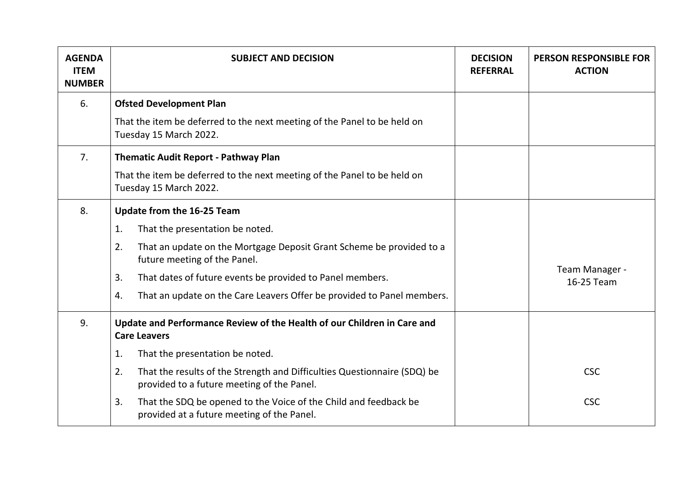| <b>AGENDA</b><br><b>ITEM</b><br><b>NUMBER</b> | <b>SUBJECT AND DECISION</b>                                                                                                  | <b>DECISION</b><br><b>REFERRAL</b> | <b>PERSON RESPONSIBLE FOR</b><br><b>ACTION</b> |
|-----------------------------------------------|------------------------------------------------------------------------------------------------------------------------------|------------------------------------|------------------------------------------------|
| 6.                                            | <b>Ofsted Development Plan</b>                                                                                               |                                    |                                                |
|                                               | That the item be deferred to the next meeting of the Panel to be held on<br>Tuesday 15 March 2022.                           |                                    |                                                |
| 7.                                            | <b>Thematic Audit Report - Pathway Plan</b>                                                                                  |                                    |                                                |
|                                               | That the item be deferred to the next meeting of the Panel to be held on<br>Tuesday 15 March 2022.                           |                                    |                                                |
| 8.                                            | Update from the 16-25 Team                                                                                                   |                                    |                                                |
|                                               | That the presentation be noted.<br>1.                                                                                        |                                    |                                                |
|                                               | That an update on the Mortgage Deposit Grant Scheme be provided to a<br>2.<br>future meeting of the Panel.                   |                                    |                                                |
|                                               | 3.<br>That dates of future events be provided to Panel members.                                                              |                                    | Team Manager -<br>16-25 Team                   |
|                                               | That an update on the Care Leavers Offer be provided to Panel members.<br>4.                                                 |                                    |                                                |
| 9.                                            | Update and Performance Review of the Health of our Children in Care and<br><b>Care Leavers</b>                               |                                    |                                                |
|                                               | 1.<br>That the presentation be noted.                                                                                        |                                    |                                                |
|                                               | 2.<br>That the results of the Strength and Difficulties Questionnaire (SDQ) be<br>provided to a future meeting of the Panel. |                                    | <b>CSC</b>                                     |
|                                               | That the SDQ be opened to the Voice of the Child and feedback be<br>3.<br>provided at a future meeting of the Panel.         |                                    | <b>CSC</b>                                     |